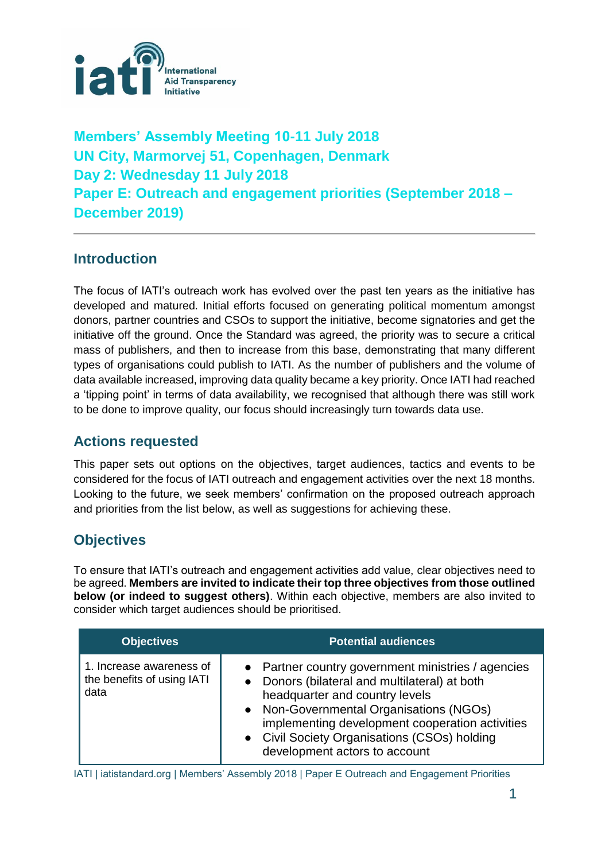

**Members' Assembly Meeting 10-11 July 2018 UN City, Marmorvej 51, Copenhagen, Denmark Day 2: Wednesday 11 July 2018 Paper E: Outreach and engagement priorities (September 2018 – December 2019)** 

## **Introduction**

The focus of IATI's outreach work has evolved over the past ten years as the initiative has developed and matured. Initial efforts focused on generating political momentum amongst donors, partner countries and CSOs to support the initiative, become signatories and get the initiative off the ground. Once the Standard was agreed, the priority was to secure a critical mass of publishers, and then to increase from this base, demonstrating that many different types of organisations could publish to IATI. As the number of publishers and the volume of data available increased, improving data quality became a key priority. Once IATI had reached a 'tipping point' in terms of data availability, we recognised that although there was still work to be done to improve quality, our focus should increasingly turn towards data use.

### **Actions requested**

This paper sets out options on the objectives, target audiences, tactics and events to be considered for the focus of IATI outreach and engagement activities over the next 18 months. Looking to the future, we seek members' confirmation on the proposed outreach approach and priorities from the list below, as well as suggestions for achieving these.

## **Objectives**

To ensure that IATI's outreach and engagement activities add value, clear objectives need to be agreed. **Members are invited to indicate their top three objectives from those outlined below (or indeed to suggest others)**. Within each objective, members are also invited to consider which target audiences should be prioritised.

| <b>Objectives</b>                                              | <b>Potential audiences</b>                                                                                                                                                                                                                                                                                           |
|----------------------------------------------------------------|----------------------------------------------------------------------------------------------------------------------------------------------------------------------------------------------------------------------------------------------------------------------------------------------------------------------|
| 1. Increase awareness of<br>the benefits of using IATI<br>data | • Partner country government ministries / agencies<br>• Donors (bilateral and multilateral) at both<br>headquarter and country levels<br>• Non-Governmental Organisations (NGOs)<br>implementing development cooperation activities<br>• Civil Society Organisations (CSOs) holding<br>development actors to account |

IATI | iatistandard.org | Members' Assembly 2018 | Paper E Outreach and Engagement Priorities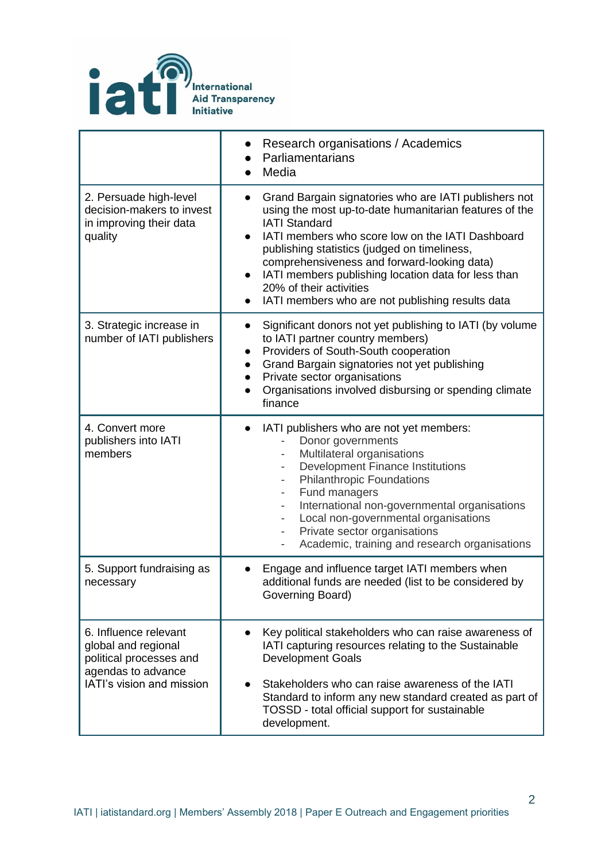

|                                                                                                                            | Research organisations / Academics<br>Parliamentarians<br>Media                                                                                                                                                                                                                                                                                                                                                                               |  |  |
|----------------------------------------------------------------------------------------------------------------------------|-----------------------------------------------------------------------------------------------------------------------------------------------------------------------------------------------------------------------------------------------------------------------------------------------------------------------------------------------------------------------------------------------------------------------------------------------|--|--|
| 2. Persuade high-level<br>decision-makers to invest<br>in improving their data<br>quality                                  | Grand Bargain signatories who are IATI publishers not<br>$\bullet$<br>using the most up-to-date humanitarian features of the<br><b>IATI Standard</b><br>IATI members who score low on the IATI Dashboard<br>publishing statistics (judged on timeliness,<br>comprehensiveness and forward-looking data)<br>IATI members publishing location data for less than<br>20% of their activities<br>IATI members who are not publishing results data |  |  |
| 3. Strategic increase in<br>number of IATI publishers                                                                      | Significant donors not yet publishing to IATI (by volume<br>to IATI partner country members)<br>Providers of South-South cooperation<br>$\bullet$<br>Grand Bargain signatories not yet publishing<br>$\bullet$<br>Private sector organisations<br>$\bullet$<br>Organisations involved disbursing or spending climate<br>$\bullet$<br>finance                                                                                                  |  |  |
| 4. Convert more<br>publishers into IATI<br>members                                                                         | IATI publishers who are not yet members:<br>Donor governments<br>Multilateral organisations<br><b>Development Finance Institutions</b><br><b>Philanthropic Foundations</b><br>$\overline{\phantom{a}}$<br>Fund managers<br>International non-governmental organisations<br>Local non-governmental organisations<br>Private sector organisations<br>Academic, training and research organisations                                              |  |  |
| 5. Support fundraising as<br>necessary                                                                                     | Engage and influence target IATI members when<br>additional funds are needed (list to be considered by<br>Governing Board)                                                                                                                                                                                                                                                                                                                    |  |  |
| 6. Influence relevant<br>global and regional<br>political processes and<br>agendas to advance<br>IATI's vision and mission | Key political stakeholders who can raise awareness of<br>IATI capturing resources relating to the Sustainable<br><b>Development Goals</b><br>Stakeholders who can raise awareness of the IATI<br>Standard to inform any new standard created as part of<br>TOSSD - total official support for sustainable<br>development.                                                                                                                     |  |  |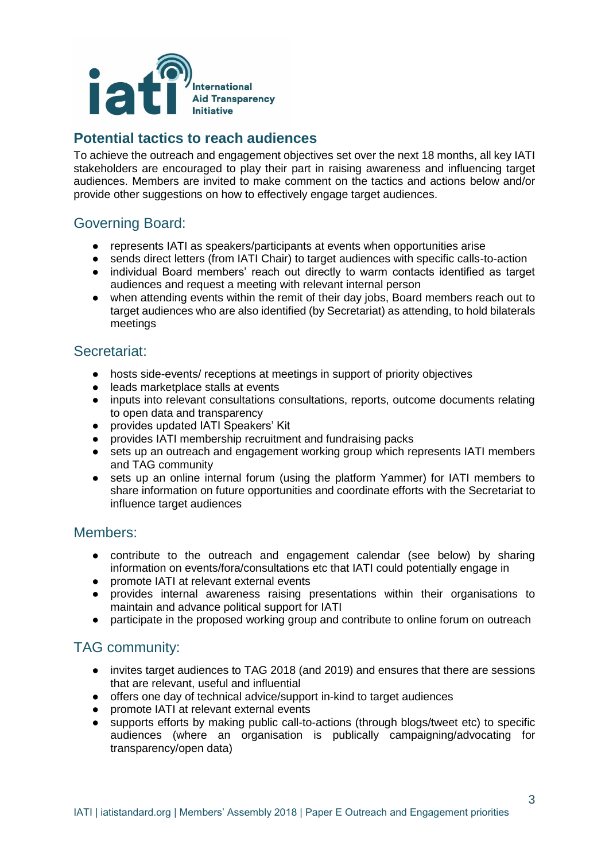

# **Potential tactics to reach audiences**

To achieve the outreach and engagement objectives set over the next 18 months, all key IATI stakeholders are encouraged to play their part in raising awareness and influencing target audiences. Members are invited to make comment on the tactics and actions below and/or provide other suggestions on how to effectively engage target audiences.

## Governing Board:

- represents IATI as speakers/participants at events when opportunities arise
- sends direct letters (from IATI Chair) to target audiences with specific calls-to-action
- individual Board members' reach out directly to warm contacts identified as target audiences and request a meeting with relevant internal person
- when attending events within the remit of their day jobs, Board members reach out to target audiences who are also identified (by Secretariat) as attending, to hold bilaterals meetings

#### Secretariat:

- hosts side-events/ receptions at meetings in support of priority objectives
- leads marketplace stalls at events
- inputs into relevant consultations consultations, reports, outcome documents relating to open data and transparency
- provides updated IATI Speakers' Kit
- provides IATI membership recruitment and fundraising packs
- sets up an outreach and engagement working group which represents IATI members and TAG community
- sets up an online internal forum (using the platform Yammer) for IATI members to share information on future opportunities and coordinate efforts with the Secretariat to influence target audiences

#### Members:

- contribute to the outreach and engagement calendar (see below) by sharing information on events/fora/consultations etc that IATI could potentially engage in
- promote IATI at relevant external events
- provides internal awareness raising presentations within their organisations to maintain and advance political support for IATI
- participate in the proposed working group and contribute to online forum on outreach

### TAG community:

- invites target audiences to TAG 2018 (and 2019) and ensures that there are sessions that are relevant, useful and influential
- offers one day of technical advice/support in-kind to target audiences
- promote IATI at relevant external events
- supports efforts by making public call-to-actions (through blogs/tweet etc) to specific audiences (where an organisation is publically campaigning/advocating for transparency/open data)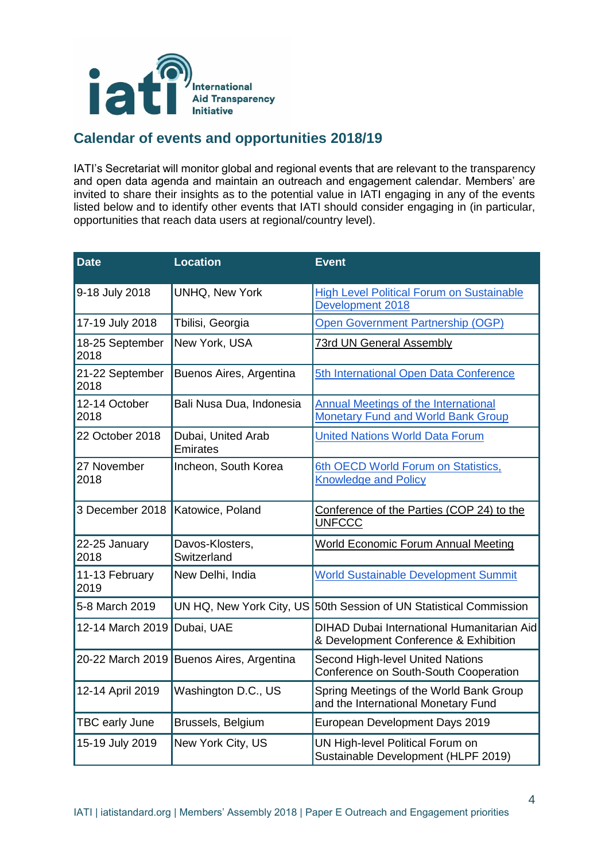

# **Calendar of events and opportunities 2018/19**

IATI's Secretariat will monitor global and regional events that are relevant to the transparency and open data agenda and maintain an outreach and engagement calendar. Members' are invited to share their insights as to the potential value in IATI engaging in any of the events listed below and to identify other events that IATI should consider engaging in (in particular, opportunities that reach data users at regional/country level).

| <b>Date</b>             | <b>Location</b>                | <b>Event</b>                                                                             |
|-------------------------|--------------------------------|------------------------------------------------------------------------------------------|
| 9-18 July 2018          | UNHQ, New York                 | <b>High Level Political Forum on Sustainable</b><br>Development 2018                     |
| 17-19 July 2018         | Tbilisi, Georgia               | Open Government Partnership (OGP)                                                        |
| 18-25 September<br>2018 | New York, USA                  | <b>73rd UN General Assembly</b>                                                          |
| 21-22 September<br>2018 | Buenos Aires, Argentina        | 5th International Open Data Conference                                                   |
| 12-14 October<br>2018   | Bali Nusa Dua, Indonesia       | <b>Annual Meetings of the International</b><br><b>Monetary Fund and World Bank Group</b> |
| 22 October 2018         | Dubai, United Arab<br>Emirates | <b>United Nations World Data Forum</b>                                                   |
| 27 November<br>2018     | Incheon, South Korea           | 6th OECD World Forum on Statistics,<br><b>Knowledge and Policy</b>                       |
| 3 December 2018         | Katowice, Poland               | Conference of the Parties (COP 24) to the<br><b>UNFCCC</b>                               |
| 22-25 January<br>2018   | Davos-Klosters,<br>Switzerland | <b>World Economic Forum Annual Meeting</b>                                               |
| 11-13 February<br>2019  | New Delhi, India               | <b>World Sustainable Development Summit</b>                                              |
| 5-8 March 2019          |                                | UN HQ, New York City, US 50th Session of UN Statistical Commission                       |
| 12-14 March 2019        | Dubai, UAE                     | DIHAD Dubai International Humanitarian Aid<br>& Development Conference & Exhibition      |
| 20-22 March 2019        | Buenos Aires, Argentina        | <b>Second High-level United Nations</b><br>Conference on South-South Cooperation         |
| 12-14 April 2019        | Washington D.C., US            | Spring Meetings of the World Bank Group<br>and the International Monetary Fund           |
| TBC early June          | Brussels, Belgium              | European Development Days 2019                                                           |
| 15-19 July 2019         | New York City, US              | UN High-level Political Forum on<br>Sustainable Development (HLPF 2019)                  |